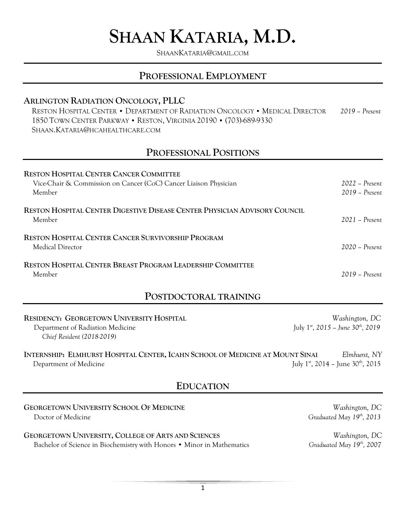# **SHAAN KATARIA, M.D.**

SHAANKATARIA@GMAIL.COM

# **PROFESSIONAL EMPLOYMENT**

#### **ARLINGTON RADIATION ONCOLOGY, PLLC**

 RESTON HOSPITAL CENTER • DEPARTMENT OF RADIATION ONCOLOGY • MEDICAL DIRECTOR *2019 – Present* 1850 TOWN CENTER PARKWAY • RESTON, VIRGINIA 20190 • (703)-689-9330 SHAAN.KATARIA@HCAHEALTHCARE.COM

# **PROFESSIONAL POSITIONS**

| <b>RESTON HOSPITAL CENTER CANCER COMMITTEE</b><br>Vice-Chair & Commission on Cancer (CoC) Cancer Liaison Physician<br>Member | $2022 - Present$<br>$2019$ – Present |
|------------------------------------------------------------------------------------------------------------------------------|--------------------------------------|
| RESTON HOSPITAL CENTER DIGESTIVE DISEASE CENTER PHYSICIAN ADVISORY COUNCIL<br>Member                                         | $2021$ – Present                     |
| <b>RESTON HOSPITAL CENTER CANCER SURVIVORSHIP PROGRAM</b><br>Medical Director                                                | $2020$ – Present                     |
| <b>RESTON HOSPITAL CENTER BREAST PROGRAM LEADERSHIP COMMITTEE</b><br>Member                                                  | $2019$ – Present                     |

## **POSTDOCTORAL TRAINING**

| <b>RESIDENCY: GEORGETOWN UNIVERSITY HOSPITAL</b>                              | Washington, DC                                             |
|-------------------------------------------------------------------------------|------------------------------------------------------------|
| Department of Radiation Medicine<br>Chief Resident (2018-2019)                | July 1 <sup>st</sup> , 2015 – June 30 <sup>th</sup> , 2019 |
| INTERNSHIP: ELMHURST HOSPITAL CENTER, ICAHN SCHOOL OF MEDICINE AT MOUNT SINAI | Elmhurst. NY                                               |

**INTERNSHIP: ELMHURST HOSPITAL CENTER, ICAHN SCHOOL OF MEDICINE AT MOUNT SINAI** *Elmhurst, NY* Department of Medicine  $\frac{32.64 \times 10^{-14} \text{ J}}{2015 \times 10^{-14} \text{ J}}$  July 1st, 2014 – June 30<sup>th</sup>, 2015

## **EDUCATION**

**GEORGETOWN UNIVERSITY SCHOOL OF MEDICINE** *Washington, DC* Doctor of Medicine *Graduated May 19<sup>th</sup>*, 2013

**GEORGETOWN UNIVERSITY, COLLEGE OF ARTS AND SCIENCES** *Washington, DC* Bachelor of Science in Biochemistry with Honors • Minor in Mathematics *Graduated May 19<sup>th</sup>*, 2007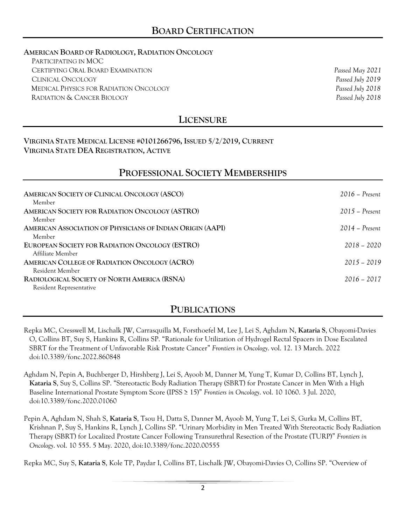#### **AMERICAN BOARD OF RADIOLOGY, RADIATION ONCOLOGY**

PARTICIPATING IN MOC CERTIFYING ORAL BOARD EXAMINATION *Passed May 2021* CLINICAL ONCOLOGY *Passed July 2019* MEDICAL PHYSICS FOR RADIATION ONCOLOGY *Passed July 2018* RADIATION & CANCER BIOLOGY *Passed July 2018*

# **LICENSURE**

#### **VIRGINIA STATE MEDICAL LICENSE #0101266796, ISSUED 5/2/2019, CURRENT VIRGINIA STATE DEA REGISTRATION, ACTIVE**

## **PROFESSIONAL SOCIETY MEMBERSHIPS**

| $2016$ – Present |
|------------------|
| $2015$ – Present |
| 2014 – Present   |
| $2018 - 2020$    |
| $2015 - 2019$    |
| $2016 - 2017$    |
|                  |

# **PUBLICATIONS**

Repka MC, Cresswell M, Lischalk JW, Carrasquilla M, Forsthoefel M, Lee J, Lei S, Aghdam N, **Kataria S**, Obayomi-Davies O, Collins BT, Suy S, Hankins R, Collins SP. "Rationale for Utilization of Hydrogel Rectal Spacers in Dose Escalated SBRT for the Treatment of Unfavorable Risk Prostate Cancer" *Frontiers in Oncology*. vol. 12. 13 March. 2022 doi:10.3389/fonc.2022.860848

Aghdam N, Pepin A, Buchberger D, Hirshberg J, Lei S, Ayoob M, Danner M, Yung T, Kumar D, Collins BT, Lynch J, **Kataria S**, Suy S, Collins SP. "Stereotactic Body Radiation Therapy (SBRT) for Prostate Cancer in Men With a High Baseline International Prostate Symptom Score (IPSS ≥ 15)" *Frontiers in Oncology*. vol. 10 1060. 3 Jul. 2020, doi:10.3389/fonc.2020.01060

Pepin A, Aghdam N, Shah S, **Kataria S**, Tsou H, Datta S, Danner M, Ayoob M, Yung T, Lei S, Gurka M, Collins BT, Krishnan P, Suy S, Hankins R, Lynch J, Collins SP. "Urinary Morbidity in Men Treated With Stereotactic Body Radiation Therapy (SBRT) for Localized Prostate Cancer Following Transurethral Resection of the Prostate (TURP)" *Frontiers in Oncology*. vol. 10 555. 5 May. 2020, doi:10.3389/fonc.2020.00555

Repka MC, Suy S, **Kataria S**, Kole TP, Paydar I, Collins BT, Lischalk JW, Obayomi-Davies O, Collins SP. "Overview of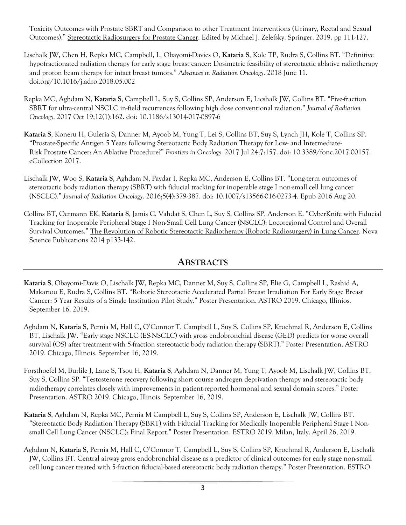Toxicity Outcomes with Prostate SBRT and Comparison to other Treatment Interventions (Urinary, Rectal and Sexual Outcomes)." Stereotactic Radiosurgery for Prostate Cancer. Edited by Michael J. Zelefsky. Springer. 2019. pp 111-127.

- Lischalk JW, Chen H, Repka MC, Campbell, L, Obayomi-Davies O, **Kataria S**, Kole TP, Rudra S, Collins BT. "Definitive hypofractionated radiation therapy for early stage breast cancer: Dosimetric feasibility of stereotactic ablative radiotherapy and proton beam therapy for intact breast tumors." *Advances in Radiation Oncology*. 2018 June 11. doi.org/10.1016/j.adro.2018.05.002
- Repka MC, Aghdam N, **Kataria S**, Campbell L, Suy S, Collins SP, Anderson E, Licshalk JW, Collins BT. "Five-fraction SBRT for ultra-central NSCLC in-field recurrences following high dose conventional radiation." *Journal of Radiation Oncology.* 2017 Oct 19;12(1):162. doi: 10.1186/s13014-017-0897-6
- **Kataria S**, Koneru H, Guleria S, Danner M, Ayoob M, Yung T, Lei S, Collins BT, Suy S, Lynch JH, Kole T, Collins SP. "Prostate-Specific Antigen 5 Years following Stereotactic Body Radiation Therapy for Low- and Intermediate- Risk Prostate Cancer: An Ablative Procedure?" *Frontiers in Oncology*. 2017 Jul 24;7:157. doi: 10.3389/fonc.2017.00157. eCollection 2017.
- Lischalk JW, Woo S, **Kataria S**, Aghdam N, Paydar I, Repka MC, Anderson E, Collins BT. "Long-term outcomes of stereotactic body radiation therapy (SBRT) with fiducial tracking for inoperable stage I non-small cell lung cancer (NSCLC)." *Journal of Radiation Oncology*. 2016;5(4):379-387. doi: 10.1007/s13566-016-0273-4. Epub 2016 Aug 20.
- Collins BT, Oermann EK, **Kataria S**, Jamis C, Vahdat S, Chen L, Suy S, Collins SP, Anderson E. "CyberKnife with Fiducial Tracking for Inoperable Peripheral Stage I Non-Small Cell Lung Cancer (NSCLC): Locoregional Control and Overall Survival Outcomes." The Revolution of Robotic Stereotactic Radiotherapy (Robotic Radiosurgery) in Lung Cancer. Nova Science Publications 2014 p133-142.

## **ABSTRACTS**

- **Kataria S**, Obayomi-Davis O, Lischalk JW, Repka MC, Danner M, Suy S, Collins SP, Elie G, Campbell L, Rashid A, Makariou E, Rudra S, Collins BT. "Robotic Stereotactic Accelerated Partial Breast Irradiation For Early Stage Breast Cancer: 5 Year Results of a Single Institution Pilot Study." Poster Presentation. ASTRO 2019. Chicago, Illinios. September 16, 2019.
- Aghdam N, **Kataria S**, Pernia M, Hall C, O'Connor T, Campbell L, Suy S, Collins SP, Krochmal R, Anderson E, Collins BT, Lischalk JW. "Early stage NSCLC (ES-NSCLC) with gross endobronchial disease (GED) predicts for worse overall survival (OS) after treatment with 5-fraction stereotactic body radiation therapy (SBRT)." Poster Presentation. ASTRO 2019. Chicago, Illinois. September 16, 2019.
- Forsthoefel M, Burlile J, Lane S, Tsou H, **Kataria S**, Aghdam N, Danner M, Yung T, Ayoob M, Lischalk JW, Collins BT, Suy S, Collins SP. "Testosterone recovery following short course androgen deprivation therapy and stereotactic body radiotherapy correlates closely with improvements in patient-reported hormonal and sexual domain scores." Poster Presentation. ASTRO 2019. Chicago, Illinois. September 16, 2019.
- **Kataria S**, Aghdam N, Repka MC, Pernia M Campbell L, Suy S, Collins SP, Anderson E, Lischalk JW, Collins BT. "Stereotactic Body Radiation Therapy (SBRT) with Fiducial Tracking for Medically Inoperable Peripheral Stage I Non small Cell Lung Cancer (NSCLC): Final Report." Poster Presentation. ESTRO 2019. Milan, Italy. April 26, 2019.
- Aghdam N, **Kataria S**, Pernia M, Hall C, O'Connor T, Campbell L, Suy S, Collins SP, Krochmal R, Anderson E, Lischalk JW, Collins BT. Central airway gross endobronchial disease as a predictor of clinical outcomes for early stage non-small cell lung cancer treated with 5-fraction fiducial-based stereotactic body radiation therapy." Poster Presentation. ESTRO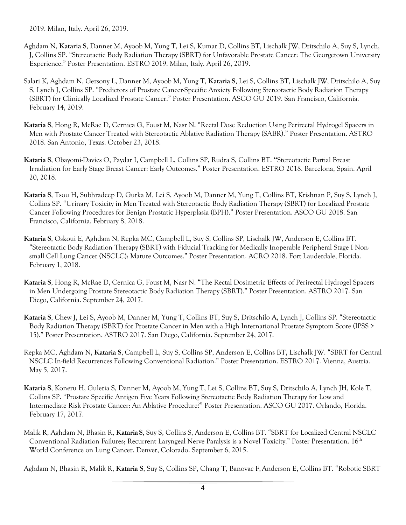2019. Milan, Italy. April 26, 2019.

- Aghdam N, **Kataria S**, Danner M, Ayoob M, Yung T, Lei S, Kumar D, Collins BT, Lischalk JW, Dritschilo A, Suy S, Lynch, J, Collins SP. "Stereotactic Body Radiation Therapy (SBRT) for Unfavorable Prostate Cancer: The Georgetown University Experience." Poster Presentation. ESTRO 2019. Milan, Italy. April 26, 2019.
- Salari K, Aghdam N, Gersony L, Danner M, Ayoob M, Yung T, **Kataria S**, Lei S, Collins BT, Lischalk JW, Dritschilo A, Suy S, Lynch J, Collins SP. "Predictors of Prostate Cancer-Specific Anxiety Following Stereotactic Body Radiation Therapy (SBRT) for Clinically Localized Prostate Cancer." Poster Presentation. ASCO GU 2019. San Francisco, California. February 14, 2019.
- **Kataria S**, Hong R, McRae D, Cernica G, Foust M, Nasr N. "Rectal Dose Reduction Using Perirectal Hydrogel Spacers in Men with Prostate Cancer Treated with Stereotactic Ablative Radiation Therapy (SABR)." Poster Presentation. ASTRO 2018. San Antonio, Texas. October 23, 2018.
- **Kataria S**, Obayomi-Davies O, Paydar I, Campbell L, Collins SP, Rudra S, Collins BT. **"**Stereotactic Partial Breast Irradiation for Early Stage Breast Cancer: Early Outcomes." Poster Presentation. ESTRO 2018. Barcelona, Spain. April 20, 2018.
- **Kataria S**, Tsou H, Subhradeep D, Gurka M, Lei S, Ayoob M, Danner M, Yung T, Collins BT, Krishnan P, Suy S, Lynch J, Collins SP. "Urinary Toxicity in Men Treated with Stereotactic Body Radiation Therapy (SBRT) for Localized Prostate Cancer Following Procedures for Benign Prostatic Hyperplasia (BPH)." Poster Presentation. ASCO GU 2018. San Francisco, California. February 8, 2018.
- **Kataria S**, Oskoui E, Aghdam N, Repka MC, Campbell L, Suy S, Collins SP, Lischalk JW, Anderson E, Collins BT. "Stereotactic Body Radiation Therapy (SBRT) with Fiducial Tracking for Medically Inoperable Peripheral Stage I Non small Cell Lung Cancer (NSCLC): Mature Outcomes." Poster Presentation. ACRO 2018. Fort Lauderdale, Florida. February 1, 2018.
- **Kataria S**, Hong R, McRae D, Cernica G, Foust M, Nasr N. "The Rectal Dosimetric Effects of Perirectal Hydrogel Spacers in Men Undergoing Prostate Stereotactic Body Radiation Therapy (SBRT)." Poster Presentation. ASTRO 2017. San Diego, California. September 24, 2017.
- **Kataria S**, Chew J, Lei S, Ayoob M, Danner M, Yung T, Collins BT, Suy S, Dritschilo A, Lynch J, Collins SP. "Stereotactic Body Radiation Therapy (SBRT) for Prostate Cancer in Men with a High International Prostate Symptom Score (IPSS > 15)." Poster Presentation. ASTRO 2017. San Diego, California. September 24, 2017.
- Repka MC, Aghdam N, **Kataria S**, Campbell L, Suy S, Collins SP, Anderson E, Collins BT, Lischalk JW. "SBRT for Central NSCLC In-field Recurrences Following Conventional Radiation." Poster Presentation. ESTRO 2017. Vienna, Austria. May 5, 2017.
- **Kataria S**, Koneru H, Guleria S, Danner M, Ayoob M, Yung T, Lei S, Collins BT, Suy S, Dritschilo A, Lynch JH, Kole T, Collins SP. "Prostate Specific Antigen Five Years Following Stereotactic Body Radiation Therapy for Low and Intermediate Risk Prostate Cancer: An Ablative Procedure?" Poster Presentation. ASCO GU 2017. Orlando, Florida. February 17, 2017.
- Malik R, Aghdam N, Bhasin R, **Kataria S**, Suy S, Collins S, Anderson E, Collins BT. "SBRT for Localized Central NSCLC Conventional Radiation Failures; Recurrent Laryngeal Nerve Paralysis is a Novel Toxicity." Poster Presentation. 16th World Conference on Lung Cancer. Denver, Colorado. September 6, 2015.

Aghdam N, Bhasin R, Malik R, **Kataria S**, Suy S, Collins SP, Chang T, Banovac F,Anderson E, Collins BT. "Robotic SBRT